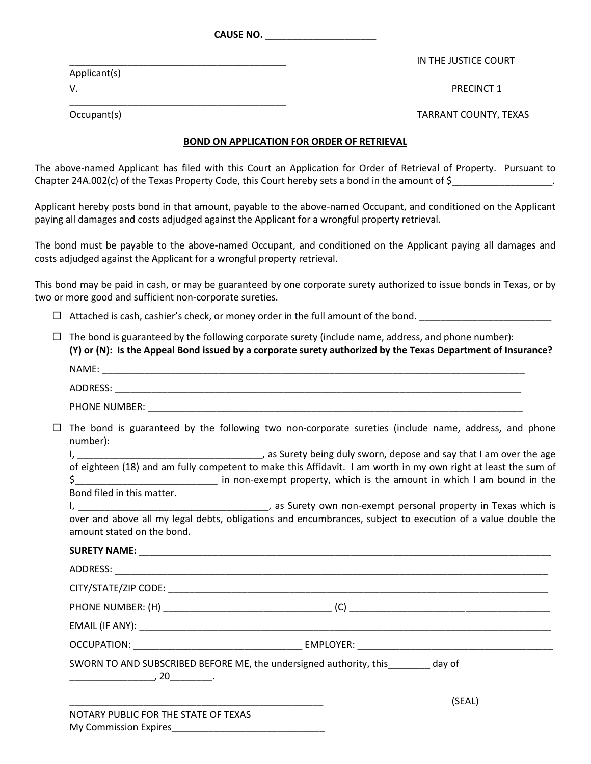**CAUSE NO.** \_\_\_\_\_\_\_\_\_\_\_\_\_\_\_\_\_\_\_\_\_

Applicant(s) V. PRECINCT 1

\_\_\_\_\_\_\_\_\_\_\_\_\_\_\_\_\_\_\_\_\_\_\_\_\_\_\_\_\_\_\_\_\_\_\_\_\_\_\_\_\_

My Commission Expires\_\_\_\_\_\_\_\_\_\_\_\_\_\_\_\_\_\_\_\_\_\_\_\_\_\_\_\_\_

IN THE JUSTICE COURT

## Occupant(s) TARRANT COUNTY, TEXAS

## **BOND ON APPLICATION FOR ORDER OF RETRIEVAL**

The above-named Applicant has filed with this Court an Application for Order of Retrieval of Property. Pursuant to Chapter 24A.002(c) of the Texas Property Code, this Court hereby sets a bond in the amount of \$

Applicant hereby posts bond in that amount, payable to the above-named Occupant, and conditioned on the Applicant paying all damages and costs adjudged against the Applicant for a wrongful property retrieval.

The bond must be payable to the above-named Occupant, and conditioned on the Applicant paying all damages and costs adjudged against the Applicant for a wrongful property retrieval.

This bond may be paid in cash, or may be guaranteed by one corporate surety authorized to issue bonds in Texas, or by two or more good and sufficient non-corporate sureties.

Attached is cash, cashier's check, or money order in the full amount of the bond. \_\_\_\_\_\_\_\_\_\_\_\_\_\_\_\_\_\_\_\_\_\_\_\_\_

| $\Box$ | The bond is guaranteed by the following corporate surety (include name, address, and phone number):<br>(Y) or (N): Is the Appeal Bond issued by a corporate surety authorized by the Texas Department of Insurance? |
|--------|---------------------------------------------------------------------------------------------------------------------------------------------------------------------------------------------------------------------|
|        |                                                                                                                                                                                                                     |
|        |                                                                                                                                                                                                                     |
|        |                                                                                                                                                                                                                     |
| $\Box$ | The bond is guaranteed by the following two non-corporate sureties (include name, address, and phone<br>number):                                                                                                    |
|        | of eighteen (18) and am fully competent to make this Affidavit. I am worth in my own right at least the sum of<br>Bond filed in this matter.                                                                        |
|        | over and above all my legal debts, obligations and encumbrances, subject to execution of a value double the<br>amount stated on the bond.                                                                           |
|        |                                                                                                                                                                                                                     |
|        |                                                                                                                                                                                                                     |
|        |                                                                                                                                                                                                                     |
|        |                                                                                                                                                                                                                     |
|        |                                                                                                                                                                                                                     |
|        |                                                                                                                                                                                                                     |
|        | SWORN TO AND SUBSCRIBED BEFORE ME, the undersigned authority, this________ day of                                                                                                                                   |
|        | (SEAL)                                                                                                                                                                                                              |
|        | NOTARY PUBLIC FOR THE STATE OF TEXAS                                                                                                                                                                                |